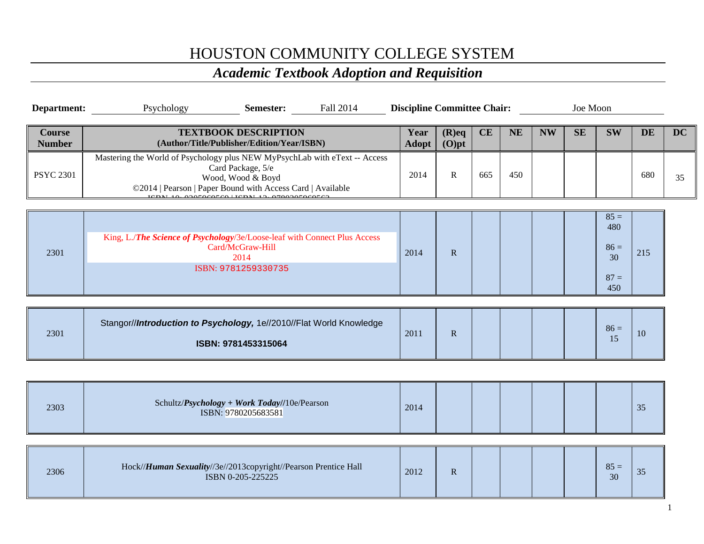## HOUSTON COMMUNITY COLLEGE SYSTEM

## *Academic Textbook Adoption and Requisition*

| Department:                    | Psychology<br>Fall 2014<br>Semester:                                                                                                                                               | <b>Discipline Committee Chair:</b> |                      |     |           |           | Joe Moon  |                                                |           |           |
|--------------------------------|------------------------------------------------------------------------------------------------------------------------------------------------------------------------------------|------------------------------------|----------------------|-----|-----------|-----------|-----------|------------------------------------------------|-----------|-----------|
| <b>Course</b><br><b>Number</b> | <b>TEXTBOOK DESCRIPTION</b><br>(Author/Title/Publisher/Edition/Year/ISBN)                                                                                                          | Year<br><b>Adopt</b>               | $(R)$ eq<br>$(O)$ pt | CE  | <b>NE</b> | <b>NW</b> | <b>SE</b> | <b>SW</b>                                      | <b>DE</b> | <b>DC</b> |
| <b>PSYC 2301</b>               | Mastering the World of Psychology plus NEW MyPsychLab with eText -- Access<br>Card Package, 5/e<br>Wood, Wood & Boyd<br>©2014   Pearson   Paper Bound with Access Card   Available | 2014                               | $\mathbb{R}$         | 665 | 450       |           |           |                                                | 680       | 35        |
| 2301                           | King, L./The Science of Psychology/3e/Loose-leaf with Connect Plus Access<br>Card/McGraw-Hill<br>2014<br>ISBN: 9781259330735                                                       | 2014                               | $\mathbf R$          |     |           |           |           | $85 =$<br>480<br>$86 =$<br>30<br>$87 =$<br>450 | 215       |           |
| 2301                           | Stangor//Introduction to Psychology, 1e//2010//Flat World Knowledge<br>ISBN: 9781453315064                                                                                         | 2011                               | $\mathbf R$          |     |           |           |           | $86 =$<br>15                                   | 10        |           |
|                                |                                                                                                                                                                                    |                                    |                      |     |           |           |           |                                                |           |           |
| 2303                           | Schultz/Psychology + Work Today//10e/Pearson<br>ISBN: 9780205683581                                                                                                                | 2014                               |                      |     |           |           |           |                                                | 35        |           |
|                                |                                                                                                                                                                                    |                                    |                      |     |           |           |           |                                                |           |           |
| 2306                           | Hock//Human Sexuality//3e//2013copyright//Pearson Prentice Hall<br>ISBN 0-205-225225                                                                                               | 2012                               | $\mathbf R$          |     |           |           |           | $85 =$<br>30                                   | 35        |           |
|                                |                                                                                                                                                                                    |                                    |                      |     |           |           |           |                                                |           |           |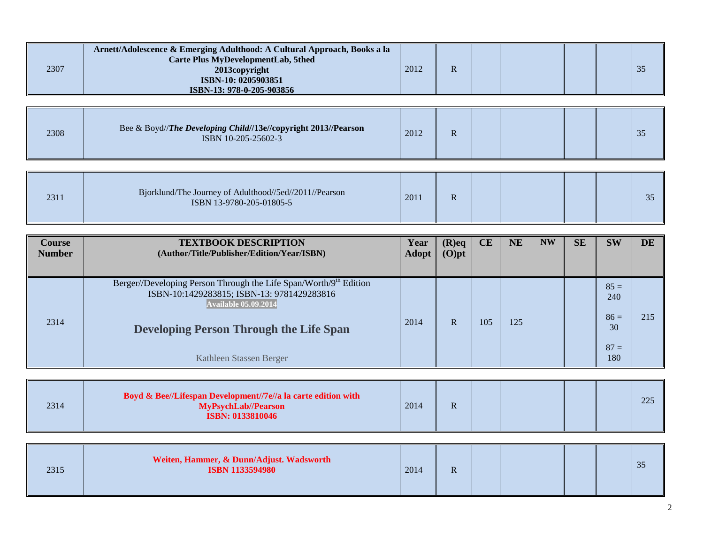| 2307 | Arnett/Adolescence & Emerging Adulthood: A Cultural Approach, Books a la<br><b>Carte Plus MyDevelopmentLab, 5thed</b><br>2013copyright<br>ISBN-10: 0205903851<br>ISBN-13: 978-0-205-903856 | 2012 | R |  |  | 35 |
|------|--------------------------------------------------------------------------------------------------------------------------------------------------------------------------------------------|------|---|--|--|----|
| 2308 | Bee & Boyd//The Developing Child//13e//copyright 2013//Pearson<br>ISBN 10-205-25602-3                                                                                                      | 2012 | R |  |  | 35 |
| 2311 | Bjorklund/The Journey of Adulthood//5ed//2011//Pearson<br>ISBN 13-9780-205-01805-5                                                                                                         | 2011 | R |  |  | 35 |

| <b>Course</b><br><b>Number</b> | <b>TEXTBOOK DESCRIPTION</b><br>(Author/Title/Publisher/Edition/Year/ISBN)                                                                                                                                                   | Year<br><b>Adopt</b> | $(R)$ eq<br>$(O)$ pt | CE  | <b>NE</b> | <b>NW</b> | <b>SE</b> | <b>SW</b>                                      | <b>DE</b> |
|--------------------------------|-----------------------------------------------------------------------------------------------------------------------------------------------------------------------------------------------------------------------------|----------------------|----------------------|-----|-----------|-----------|-----------|------------------------------------------------|-----------|
| 2314                           | Berger//Developing Person Through the Life Span/Worth/9th Edition<br>ISBN-10:1429283815; ISBN-13: 9781429283816<br><b>Available 05.09.2014</b><br><b>Developing Person Through the Life Span</b><br>Kathleen Stassen Berger | 2014                 | $\mathbf R$          | 105 | 125       |           |           | $85 =$<br>240<br>$86 =$<br>30<br>$87 =$<br>180 | 215       |

| 2314 | Boyd & Bee//Lifespan Development//7e//a la carte edition with<br><b>MyPsychLab//Pearson</b><br><b>ISBN: 0133810046</b> | 2014 | R |  |  |  |  |  | 225 |
|------|------------------------------------------------------------------------------------------------------------------------|------|---|--|--|--|--|--|-----|
|------|------------------------------------------------------------------------------------------------------------------------|------|---|--|--|--|--|--|-----|

| 2315 | Weiten, Hammer, & Dunn/Adjust. Wadsworth<br><b>ISBN 1133594980</b> | 2014 | $\mathbf R$ |  |  |  |  |  | $\Omega$ $\Gamma$<br>33 |
|------|--------------------------------------------------------------------|------|-------------|--|--|--|--|--|-------------------------|
|------|--------------------------------------------------------------------|------|-------------|--|--|--|--|--|-------------------------|